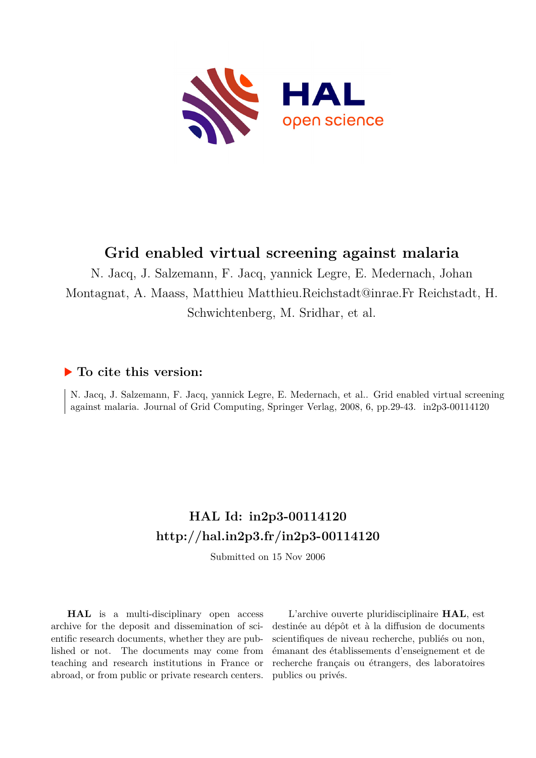

## **Grid enabled virtual screening against malaria**

N. Jacq, J. Salzemann, F. Jacq, yannick Legre, E. Medernach, Johan Montagnat, A. Maass, Matthieu Matthieu.Reichstadt@inrae.Fr Reichstadt, H. Schwichtenberg, M. Sridhar, et al.

## **To cite this version:**

N. Jacq, J. Salzemann, F. Jacq, yannick Legre, E. Medernach, et al.. Grid enabled virtual screening against malaria. Journal of Grid Computing, Springer Verlag, 2008, 6, pp. 29-43. in 2p3-00114120

# **HAL Id: in2p3-00114120 <http://hal.in2p3.fr/in2p3-00114120>**

Submitted on 15 Nov 2006

**HAL** is a multi-disciplinary open access archive for the deposit and dissemination of scientific research documents, whether they are published or not. The documents may come from teaching and research institutions in France or abroad, or from public or private research centers.

L'archive ouverte pluridisciplinaire **HAL**, est destinée au dépôt et à la diffusion de documents scientifiques de niveau recherche, publiés ou non, émanant des établissements d'enseignement et de recherche français ou étrangers, des laboratoires publics ou privés.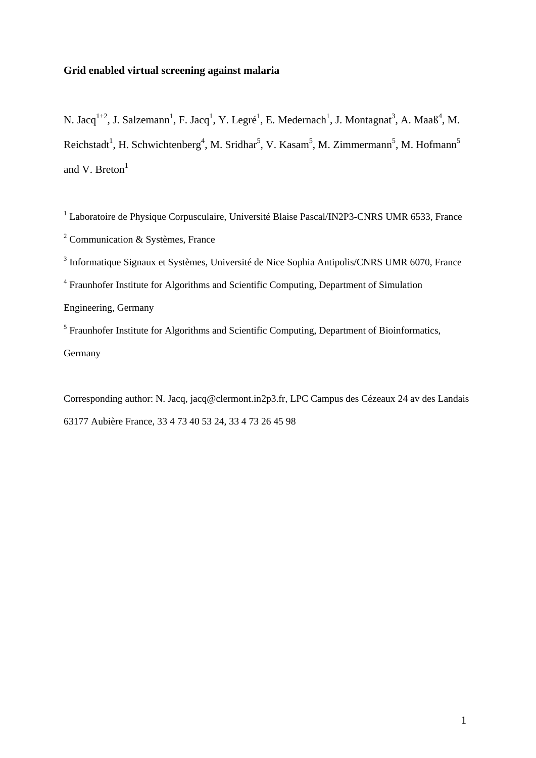## **Grid enabled virtual screening against malaria**

N. Jacq<sup>1+2</sup>, J. Salzemann<sup>1</sup>, F. Jacq<sup>1</sup>, Y. Legré<sup>1</sup>, E. Medernach<sup>1</sup>, J. Montagnat<sup>3</sup>, A. Maaß<sup>4</sup>, M. Reichstadt<sup>1</sup>, H. Schwichtenberg<sup>4</sup>, M. Sridhar<sup>5</sup>, V. Kasam<sup>5</sup>, M. Zimmermann<sup>5</sup>, M. Hofmann<sup>5</sup> and V. Breton $<sup>1</sup>$ </sup>

<sup>1</sup> Laboratoire de Physique Corpusculaire, Université Blaise Pascal/IN2P3-CNRS UMR 6533, France <sup>2</sup> Communication & Systèmes, France

<sup>3</sup> Informatique Signaux et Systèmes, Université de Nice Sophia Antipolis/CNRS UMR 6070, France

<sup>4</sup> Fraunhofer Institute for Algorithms and Scientific Computing, Department of Simulation

Engineering, Germany

<sup>5</sup> Fraunhofer Institute for Algorithms and Scientific Computing, Department of Bioinformatics, Germany

Corresponding author: N. Jacq, jacq@clermont.in2p3.fr, LPC Campus des Cézeaux 24 av des Landais 63177 Aubière France, 33 4 73 40 53 24, 33 4 73 26 45 98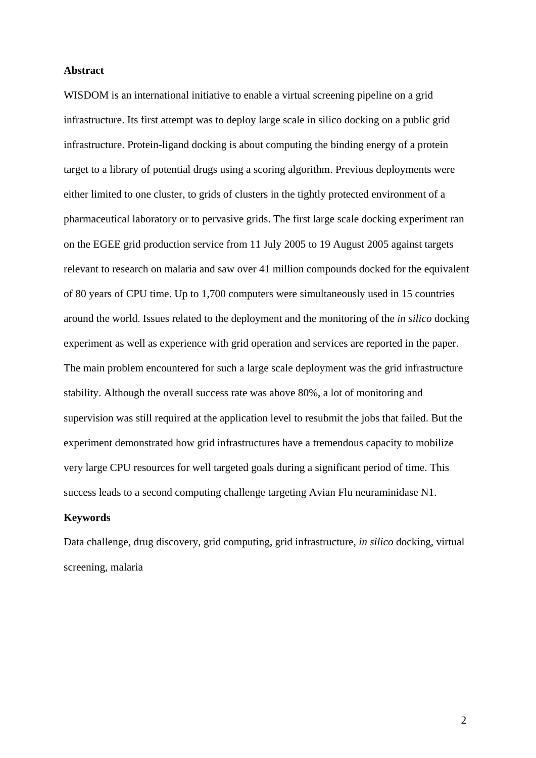## **Abstract**

WISDOM is an international initiative to enable a virtual screening pipeline on a grid infrastructure. Its first attempt was to deploy large scale in silico docking on a public grid infrastructure. Protein-ligand docking is about computing the binding energy of a protein target to a library of potential drugs using a scoring algorithm. Previous deployments were either limited to one cluster, to grids of clusters in the tightly protected environment of a pharmaceutical laboratory or to pervasive grids. The first large scale docking experiment ran on the EGEE grid production service from 11 July 2005 to 19 August 2005 against targets relevant to research on malaria and saw over 41 million compounds docked for the equivalent of 80 years of CPU time. Up to 1,700 computers were simultaneously used in 15 countries around the world. Issues related to the deployment and the monitoring of the *in silico* docking experiment as well as experience with grid operation and services are reported in the paper. The main problem encountered for such a large scale deployment was the grid infrastructure stability. Although the overall success rate was above 80%, a lot of monitoring and supervision was still required at the application level to resubmit the jobs that failed. But the experiment demonstrated how grid infrastructures have a tremendous capacity to mobilize very large CPU resources for well targeted goals during a significant period of time. This success leads to a second computing challenge targeting Avian Flu neuraminidase N1.

## **Keywords**

Data challenge, drug discovery, grid computing, grid infrastructure, *in silico* docking, virtual screening, malaria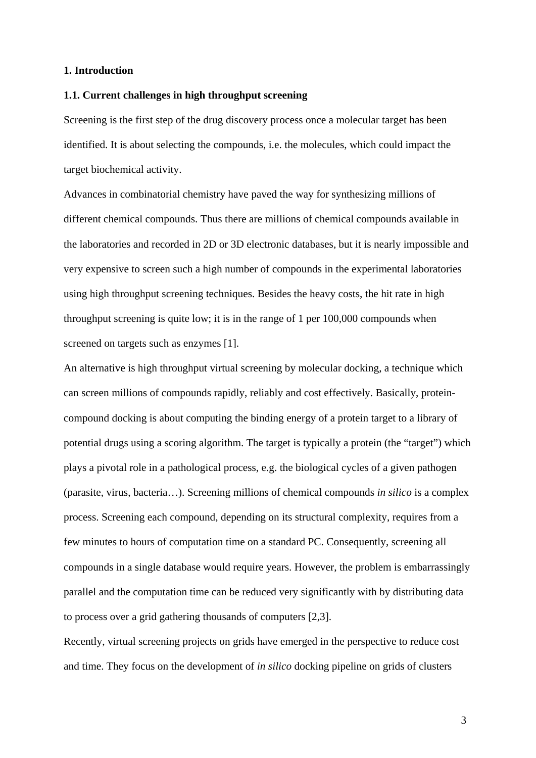## **1. Introduction**

## **1.1. Current challenges in high throughput screening**

Screening is the first step of the drug discovery process once a molecular target has been identified. It is about selecting the compounds, i.e. the molecules, which could impact the target biochemical activity.

Advances in combinatorial chemistry have paved the way for synthesizing millions of different chemical compounds. Thus there are millions of chemical compounds available in the laboratories and recorded in 2D or 3D electronic databases, but it is nearly impossible and very expensive to screen such a high number of compounds in the experimental laboratories using high throughput screening techniques. Besides the heavy costs, the hit rate in high throughput screening is quite low; it is in the range of 1 per 100,000 compounds when screened on targets such as enzymes [1].

An alternative is high throughput virtual screening by molecular docking, a technique which can screen millions of compounds rapidly, reliably and cost effectively. Basically, proteincompound docking is about computing the binding energy of a protein target to a library of potential drugs using a scoring algorithm. The target is typically a protein (the "target") which plays a pivotal role in a pathological process, e.g. the biological cycles of a given pathogen (parasite, virus, bacteria…). Screening millions of chemical compounds *in silico* is a complex process. Screening each compound, depending on its structural complexity, requires from a few minutes to hours of computation time on a standard PC. Consequently, screening all compounds in a single database would require years. However, the problem is embarrassingly parallel and the computation time can be reduced very significantly with by distributing data to process over a grid gathering thousands of computers [2,3].

Recently, virtual screening projects on grids have emerged in the perspective to reduce cost and time. They focus on the development of *in silico* docking pipeline on grids of clusters

3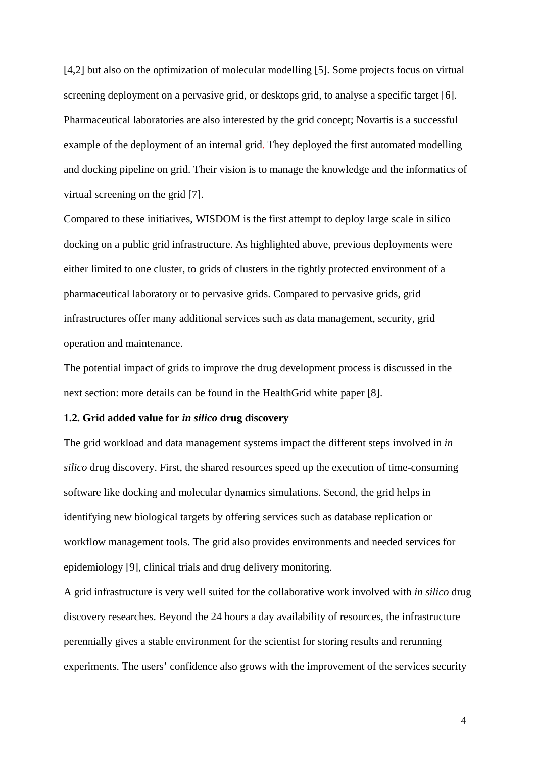[4,2] but also on the optimization of molecular modelling [5]. Some projects focus on virtual screening deployment on a pervasive grid, or desktops grid, to analyse a specific target [6]. Pharmaceutical laboratories are also interested by the grid concept; Novartis is a successful example of the deployment of an internal grid. They deployed the first automated modelling and docking pipeline on grid. Their vision is to manage the knowledge and the informatics of virtual screening on the grid [7].

Compared to these initiatives, WISDOM is the first attempt to deploy large scale in silico docking on a public grid infrastructure. As highlighted above, previous deployments were either limited to one cluster, to grids of clusters in the tightly protected environment of a pharmaceutical laboratory or to pervasive grids. Compared to pervasive grids, grid infrastructures offer many additional services such as data management, security, grid operation and maintenance.

The potential impact of grids to improve the drug development process is discussed in the next section: more details can be found in the HealthGrid white paper [8].

## **1.2. Grid added value for** *in silico* **drug discovery**

The grid workload and data management systems impact the different steps involved in *in silico* drug discovery. First, the shared resources speed up the execution of time-consuming software like docking and molecular dynamics simulations. Second, the grid helps in identifying new biological targets by offering services such as database replication or workflow management tools. The grid also provides environments and needed services for epidemiology [9], clinical trials and drug delivery monitoring.

A grid infrastructure is very well suited for the collaborative work involved with *in silico* drug discovery researches. Beyond the 24 hours a day availability of resources, the infrastructure perennially gives a stable environment for the scientist for storing results and rerunning experiments. The users' confidence also grows with the improvement of the services security

4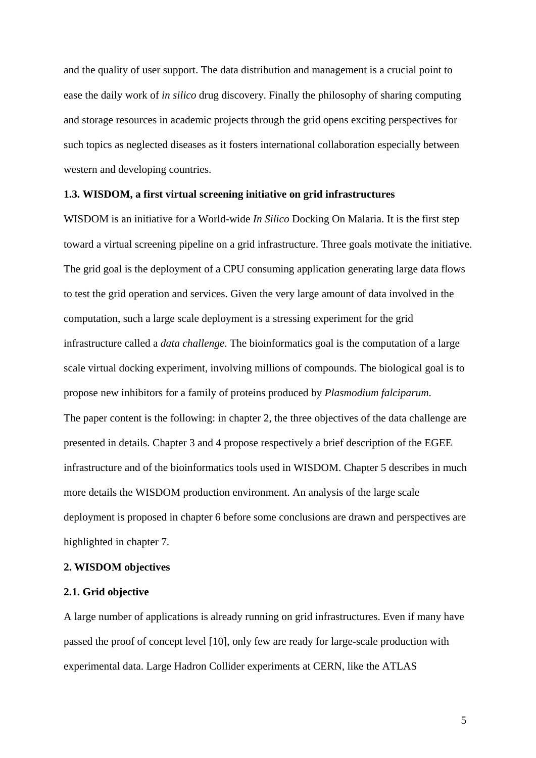and the quality of user support. The data distribution and management is a crucial point to ease the daily work of *in silico* drug discovery. Finally the philosophy of sharing computing and storage resources in academic projects through the grid opens exciting perspectives for such topics as neglected diseases as it fosters international collaboration especially between western and developing countries.

#### **1.3. WISDOM, a first virtual screening initiative on grid infrastructures**

WISDOM is an initiative for a World-wide *In Silico* Docking On Malaria. It is the first step toward a virtual screening pipeline on a grid infrastructure. Three goals motivate the initiative. The grid goal is the deployment of a CPU consuming application generating large data flows to test the grid operation and services. Given the very large amount of data involved in the computation, such a large scale deployment is a stressing experiment for the grid infrastructure called a *data challenge*. The bioinformatics goal is the computation of a large scale virtual docking experiment, involving millions of compounds. The biological goal is to propose new inhibitors for a family of proteins produced by *Plasmodium falciparum*. The paper content is the following: in chapter 2, the three objectives of the data challenge are presented in details. Chapter 3 and 4 propose respectively a brief description of the EGEE infrastructure and of the bioinformatics tools used in WISDOM. Chapter 5 describes in much more details the WISDOM production environment. An analysis of the large scale deployment is proposed in chapter 6 before some conclusions are drawn and perspectives are highlighted in chapter 7.

## **2. WISDOM objectives**

#### **2.1. Grid objective**

A large number of applications is already running on grid infrastructures. Even if many have passed the proof of concept level [10], only few are ready for large-scale production with experimental data. Large Hadron Collider experiments at CERN, like the ATLAS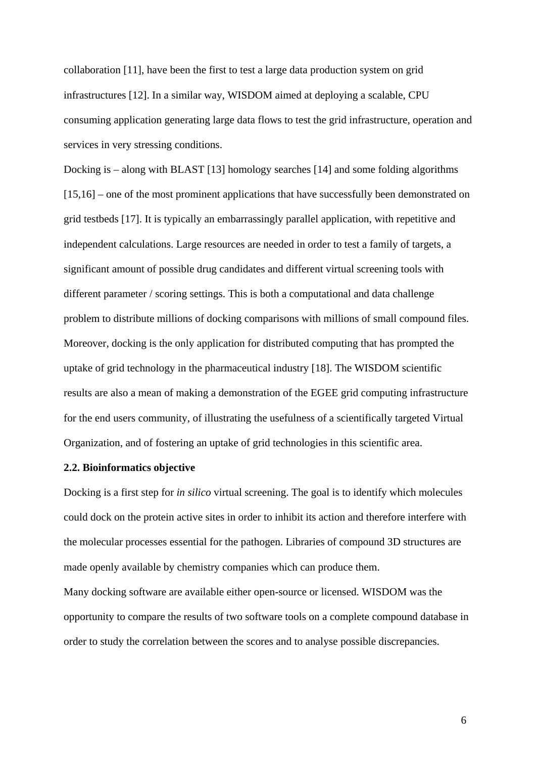collaboration [11], have been the first to test a large data production system on grid infrastructures [12]. In a similar way, WISDOM aimed at deploying a scalable, CPU consuming application generating large data flows to test the grid infrastructure, operation and services in very stressing conditions.

Docking is – along with BLAST [13] homology searches [14] and some folding algorithms [15,16] – one of the most prominent applications that have successfully been demonstrated on grid testbeds [17]. It is typically an embarrassingly parallel application, with repetitive and independent calculations. Large resources are needed in order to test a family of targets, a significant amount of possible drug candidates and different virtual screening tools with different parameter / scoring settings. This is both a computational and data challenge problem to distribute millions of docking comparisons with millions of small compound files. Moreover, docking is the only application for distributed computing that has prompted the uptake of grid technology in the pharmaceutical industry [18]. The WISDOM scientific results are also a mean of making a demonstration of the EGEE grid computing infrastructure for the end users community, of illustrating the usefulness of a scientifically targeted Virtual Organization, and of fostering an uptake of grid technologies in this scientific area.

#### **2.2. Bioinformatics objective**

Docking is a first step for *in silico* virtual screening. The goal is to identify which molecules could dock on the protein active sites in order to inhibit its action and therefore interfere with the molecular processes essential for the pathogen. Libraries of compound 3D structures are made openly available by chemistry companies which can produce them.

Many docking software are available either open-source or licensed. WISDOM was the opportunity to compare the results of two software tools on a complete compound database in order to study the correlation between the scores and to analyse possible discrepancies.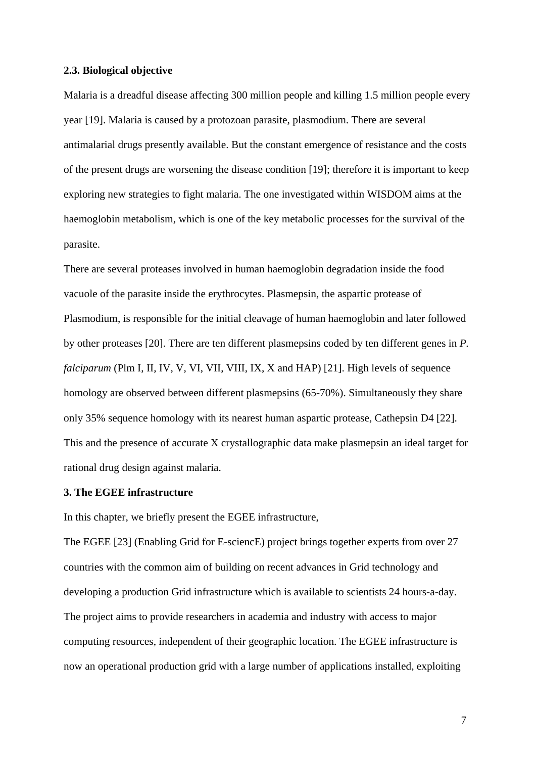#### **2.3. Biological objective**

Malaria is a dreadful disease affecting 300 million people and killing 1.5 million people every year [19]. Malaria is caused by a protozoan parasite, plasmodium. There are several antimalarial drugs presently available. But the constant emergence of resistance and the costs of the present drugs are worsening the disease condition [19]; therefore it is important to keep exploring new strategies to fight malaria. The one investigated within WISDOM aims at the haemoglobin metabolism, which is one of the key metabolic processes for the survival of the parasite.

There are several proteases involved in human haemoglobin degradation inside the food vacuole of the parasite inside the erythrocytes. Plasmepsin, the aspartic protease of Plasmodium, is responsible for the initial cleavage of human haemoglobin and later followed by other proteases [20]. There are ten different plasmepsins coded by ten different genes in *P. falciparum* (Plm I, II, IV, V, VI, VII, VIII, IX, X and HAP) [21]. High levels of sequence homology are observed between different plasmepsins (65-70%). Simultaneously they share only 35% sequence homology with its nearest human aspartic protease, Cathepsin D4 [22]. This and the presence of accurate X crystallographic data make plasmepsin an ideal target for rational drug design against malaria.

#### **3. The EGEE infrastructure**

In this chapter, we briefly present the EGEE infrastructure,

The EGEE [23] (Enabling Grid for E-sciencE) project brings together experts from over 27 countries with the common aim of building on recent advances in Grid technology and developing a production Grid infrastructure which is available to scientists 24 hours-a-day. The project aims to provide researchers in academia and industry with access to major computing resources, independent of their geographic location. The EGEE infrastructure is now an operational production grid with a large number of applications installed, exploiting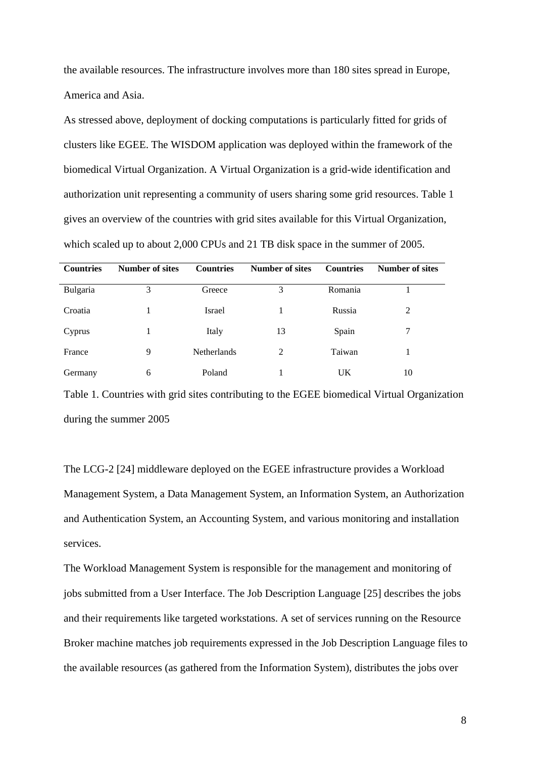the available resources. The infrastructure involves more than 180 sites spread in Europe, America and Asia.

As stressed above, deployment of docking computations is particularly fitted for grids of clusters like EGEE. The WISDOM application was deployed within the framework of the biomedical Virtual Organization. A Virtual Organization is a grid-wide identification and authorization unit representing a community of users sharing some grid resources. Table 1 gives an overview of the countries with grid sites available for this Virtual Organization, which scaled up to about 2,000 CPUs and 21 TB disk space in the summer of 2005.

| <b>Countries</b> | <b>Number of sites</b> | <b>Countries</b>   | <b>Number of sites</b> | <b>Countries</b> | <b>Number of sites</b> |
|------------------|------------------------|--------------------|------------------------|------------------|------------------------|
| Bulgaria         | 3                      | Greece             | 3                      | Romania          |                        |
| Croatia          |                        | Israel             |                        | Russia           | 2                      |
| Cyprus           |                        | Italy              | 13                     | Spain            | 7                      |
| France           | 9                      | <b>Netherlands</b> | 2                      | Taiwan           |                        |
| Germany          | 6                      | Poland             |                        | UK               | 10                     |

Table 1. Countries with grid sites contributing to the EGEE biomedical Virtual Organization during the summer 2005

The LCG-2 [24] middleware deployed on the EGEE infrastructure provides a Workload Management System, a Data Management System, an Information System, an Authorization and Authentication System, an Accounting System, and various monitoring and installation services.

The Workload Management System is responsible for the management and monitoring of jobs submitted from a User Interface. The Job Description Language [25] describes the jobs and their requirements like targeted workstations. A set of services running on the Resource Broker machine matches job requirements expressed in the Job Description Language files to the available resources (as gathered from the Information System), distributes the jobs over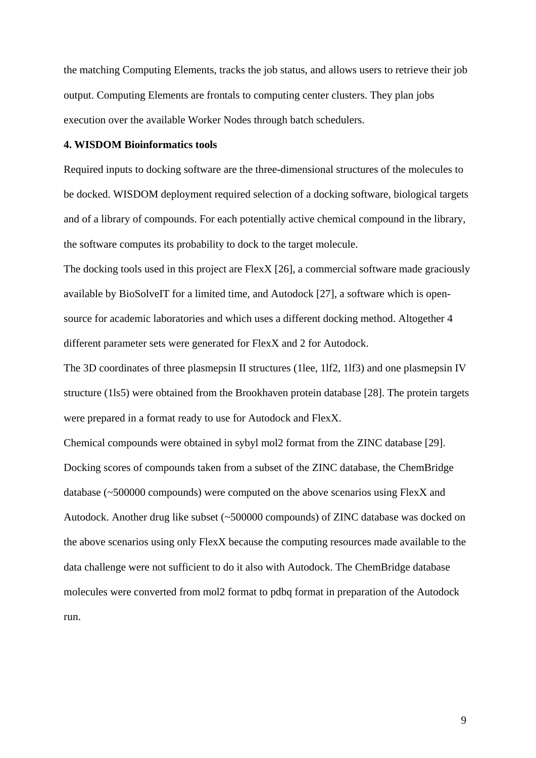the matching Computing Elements, tracks the job status, and allows users to retrieve their job output. Computing Elements are frontals to computing center clusters. They plan jobs execution over the available Worker Nodes through batch schedulers.

## **4. WISDOM Bioinformatics tools**

Required inputs to docking software are the three-dimensional structures of the molecules to be docked. WISDOM deployment required selection of a docking software, biological targets and of a library of compounds. For each potentially active chemical compound in the library, the software computes its probability to dock to the target molecule.

The docking tools used in this project are FlexX [26], a commercial software made graciously available by BioSolveIT for a limited time, and Autodock [27], a software which is opensource for academic laboratories and which uses a different docking method. Altogether 4 different parameter sets were generated for FlexX and 2 for Autodock.

The 3D coordinates of three plasmepsin II structures (1lee, 1lf2, 1lf3) and one plasmepsin IV structure (1ls5) were obtained from the Brookhaven protein database [28]. The protein targets were prepared in a format ready to use for Autodock and FlexX.

Chemical compounds were obtained in sybyl mol2 format from the ZINC database [29]. Docking scores of compounds taken from a subset of the ZINC database, the ChemBridge database (~500000 compounds) were computed on the above scenarios using FlexX and Autodock. Another drug like subset (~500000 compounds) of ZINC database was docked on the above scenarios using only FlexX because the computing resources made available to the data challenge were not sufficient to do it also with Autodock. The ChemBridge database molecules were converted from mol2 format to pdbq format in preparation of the Autodock run.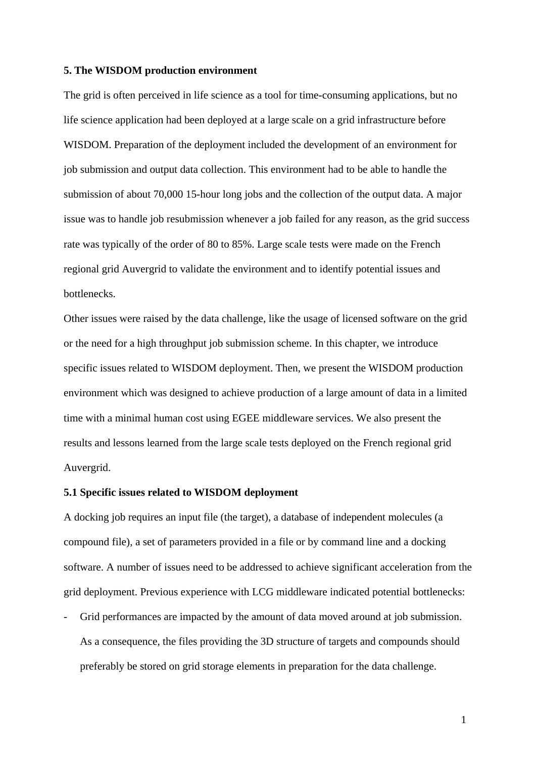#### **5. The WISDOM production environment**

The grid is often perceived in life science as a tool for time-consuming applications, but no life science application had been deployed at a large scale on a grid infrastructure before WISDOM. Preparation of the deployment included the development of an environment for job submission and output data collection. This environment had to be able to handle the submission of about 70,000 15-hour long jobs and the collection of the output data. A major issue was to handle job resubmission whenever a job failed for any reason, as the grid success rate was typically of the order of 80 to 85%. Large scale tests were made on the French regional grid Auvergrid to validate the environment and to identify potential issues and bottlenecks.

Other issues were raised by the data challenge, like the usage of licensed software on the grid or the need for a high throughput job submission scheme. In this chapter, we introduce specific issues related to WISDOM deployment. Then, we present the WISDOM production environment which was designed to achieve production of a large amount of data in a limited time with a minimal human cost using EGEE middleware services. We also present the results and lessons learned from the large scale tests deployed on the French regional grid Auvergrid.

#### **5.1 Specific issues related to WISDOM deployment**

A docking job requires an input file (the target), a database of independent molecules (a compound file), a set of parameters provided in a file or by command line and a docking software. A number of issues need to be addressed to achieve significant acceleration from the grid deployment. Previous experience with LCG middleware indicated potential bottlenecks:

Grid performances are impacted by the amount of data moved around at job submission. As a consequence, the files providing the 3D structure of targets and compounds should preferably be stored on grid storage elements in preparation for the data challenge.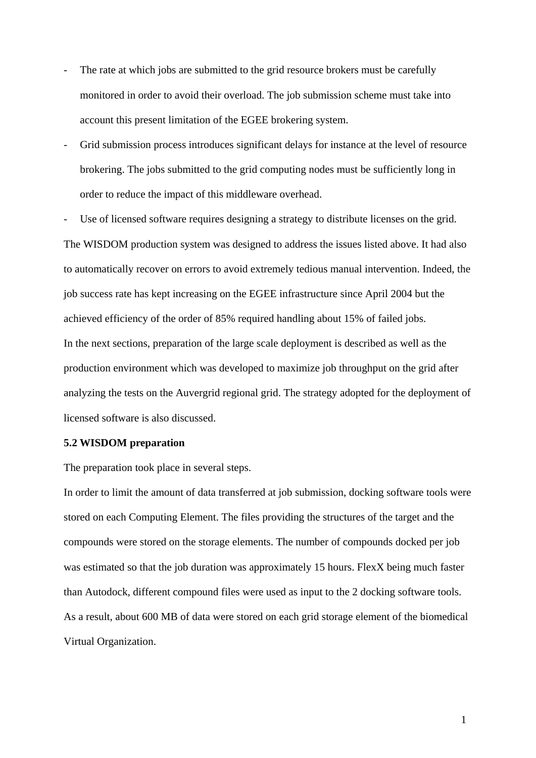- The rate at which jobs are submitted to the grid resource brokers must be carefully monitored in order to avoid their overload. The job submission scheme must take into account this present limitation of the EGEE brokering system.
- Grid submission process introduces significant delays for instance at the level of resource brokering. The jobs submitted to the grid computing nodes must be sufficiently long in order to reduce the impact of this middleware overhead.

Use of licensed software requires designing a strategy to distribute licenses on the grid.

The WISDOM production system was designed to address the issues listed above. It had also to automatically recover on errors to avoid extremely tedious manual intervention. Indeed, the job success rate has kept increasing on the EGEE infrastructure since April 2004 but the achieved efficiency of the order of 85% required handling about 15% of failed jobs. In the next sections, preparation of the large scale deployment is described as well as the production environment which was developed to maximize job throughput on the grid after analyzing the tests on the Auvergrid regional grid. The strategy adopted for the deployment of licensed software is also discussed.

#### **5.2 WISDOM preparation**

The preparation took place in several steps.

In order to limit the amount of data transferred at job submission, docking software tools were stored on each Computing Element. The files providing the structures of the target and the compounds were stored on the storage elements. The number of compounds docked per job was estimated so that the job duration was approximately 15 hours. FlexX being much faster than Autodock, different compound files were used as input to the 2 docking software tools. As a result, about 600 MB of data were stored on each grid storage element of the biomedical Virtual Organization.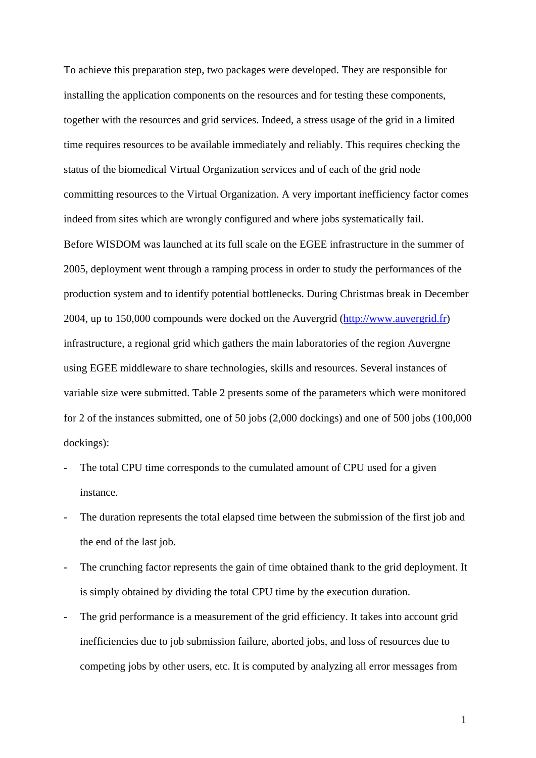To achieve this preparation step, two packages were developed. They are responsible for installing the application components on the resources and for testing these components, together with the resources and grid services. Indeed, a stress usage of the grid in a limited time requires resources to be available immediately and reliably. This requires checking the status of the biomedical Virtual Organization services and of each of the grid node committing resources to the Virtual Organization. A very important inefficiency factor comes indeed from sites which are wrongly configured and where jobs systematically fail. Before WISDOM was launched at its full scale on the EGEE infrastructure in the summer of 2005, deployment went through a ramping process in order to study the performances of the production system and to identify potential bottlenecks. During Christmas break in December 2004, up to 150,000 compounds were docked on the Auvergrid ([http://www.auvergrid.fr](http://www.auvergrid.fr/)) infrastructure, a regional grid which gathers the main laboratories of the region Auvergne using EGEE middleware to share technologies, skills and resources. Several instances of variable size were submitted. Table 2 presents some of the parameters which were monitored for 2 of the instances submitted, one of 50 jobs (2,000 dockings) and one of 500 jobs (100,000 dockings):

- The total CPU time corresponds to the cumulated amount of CPU used for a given instance.
- The duration represents the total elapsed time between the submission of the first job and the end of the last job.
- The crunching factor represents the gain of time obtained thank to the grid deployment. It is simply obtained by dividing the total CPU time by the execution duration.
- The grid performance is a measurement of the grid efficiency. It takes into account grid inefficiencies due to job submission failure, aborted jobs, and loss of resources due to competing jobs by other users, etc. It is computed by analyzing all error messages from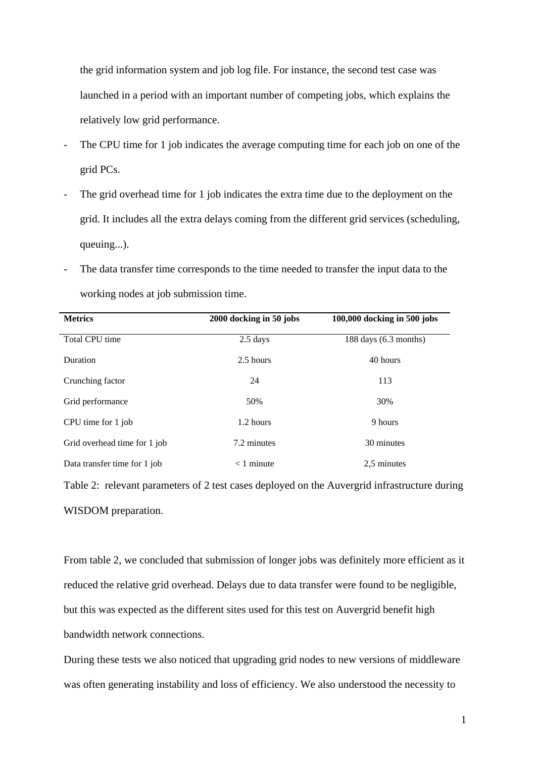the grid information system and job log file. For instance, the second test case was launched in a period with an important number of competing jobs, which explains the relatively low grid performance.

- The CPU time for 1 job indicates the average computing time for each job on one of the grid PCs.
- The grid overhead time for 1 job indicates the extra time due to the deployment on the grid. It includes all the extra delays coming from the different grid services (scheduling, queuing...).
- The data transfer time corresponds to the time needed to transfer the input data to the working nodes at job submission time.

| <b>Metrics</b>               | 2000 docking in 50 jobs | 100,000 docking in 500 jobs |
|------------------------------|-------------------------|-----------------------------|
| Total CPU time               | $2.5$ days              | $188$ days $(6.3$ months)   |
| Duration                     | 2.5 hours               | 40 hours                    |
| Crunching factor             | 24                      | 113                         |
| Grid performance             | 50%                     | 30%                         |
| CPU time for 1 job           | 1.2 hours               | 9 hours                     |
| Grid overhead time for 1 job | 7.2 minutes             | 30 minutes                  |
| Data transfer time for 1 job | $<$ 1 minute            | 2.5 minutes                 |

Table 2: relevant parameters of 2 test cases deployed on the Auvergrid infrastructure during WISDOM preparation.

From table 2, we concluded that submission of longer jobs was definitely more efficient as it reduced the relative grid overhead. Delays due to data transfer were found to be negligible, but this was expected as the different sites used for this test on Auvergrid benefit high bandwidth network connections.

During these tests we also noticed that upgrading grid nodes to new versions of middleware was often generating instability and loss of efficiency. We also understood the necessity to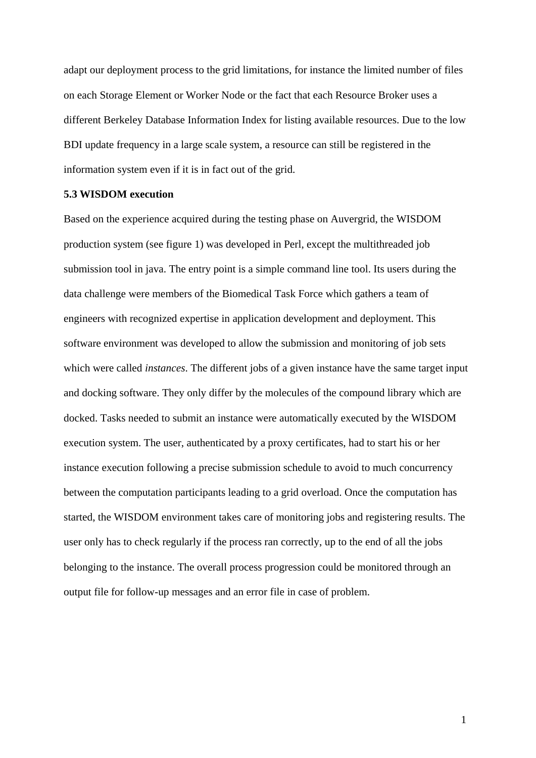adapt our deployment process to the grid limitations, for instance the limited number of files on each Storage Element or Worker Node or the fact that each Resource Broker uses a different Berkeley Database Information Index for listing available resources. Due to the low BDI update frequency in a large scale system, a resource can still be registered in the information system even if it is in fact out of the grid.

## **5.3 WISDOM execution**

Based on the experience acquired during the testing phase on Auvergrid, the WISDOM production system (see figure 1) was developed in Perl, except the multithreaded job submission tool in java. The entry point is a simple command line tool. Its users during the data challenge were members of the Biomedical Task Force which gathers a team of engineers with recognized expertise in application development and deployment. This software environment was developed to allow the submission and monitoring of job sets which were called *instances*. The different jobs of a given instance have the same target input and docking software. They only differ by the molecules of the compound library which are docked. Tasks needed to submit an instance were automatically executed by the WISDOM execution system. The user, authenticated by a proxy certificates, had to start his or her instance execution following a precise submission schedule to avoid to much concurrency between the computation participants leading to a grid overload. Once the computation has started, the WISDOM environment takes care of monitoring jobs and registering results. The user only has to check regularly if the process ran correctly, up to the end of all the jobs belonging to the instance. The overall process progression could be monitored through an output file for follow-up messages and an error file in case of problem.

1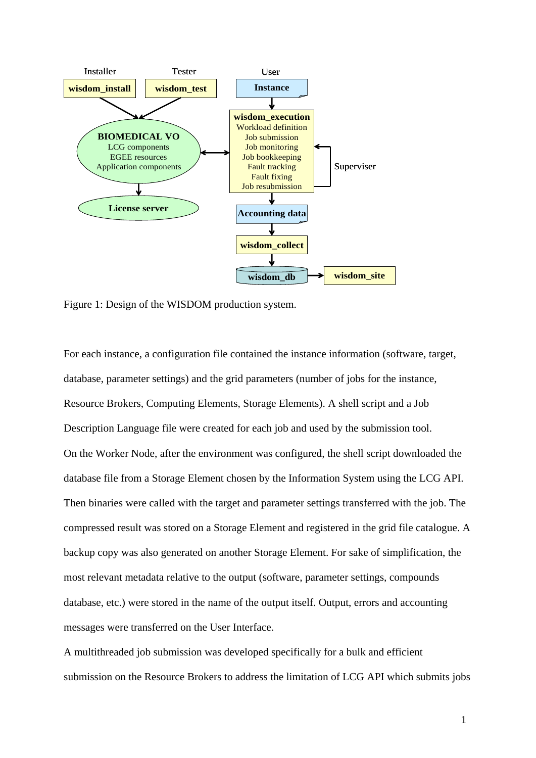

Figure 1: Design of the WISDOM production system.

For each instance, a configuration file contained the instance information (software, target, database, parameter settings) and the grid parameters (number of jobs for the instance, Resource Brokers, Computing Elements, Storage Elements). A shell script and a Job Description Language file were created for each job and used by the submission tool. On the Worker Node, after the environment was configured, the shell script downloaded the database file from a Storage Element chosen by the Information System using the LCG API. Then binaries were called with the target and parameter settings transferred with the job. The compressed result was stored on a Storage Element and registered in the grid file catalogue. A backup copy was also generated on another Storage Element. For sake of simplification, the most relevant metadata relative to the output (software, parameter settings, compounds database, etc.) were stored in the name of the output itself. Output, errors and accounting messages were transferred on the User Interface.

A multithreaded job submission was developed specifically for a bulk and efficient submission on the Resource Brokers to address the limitation of LCG API which submits jobs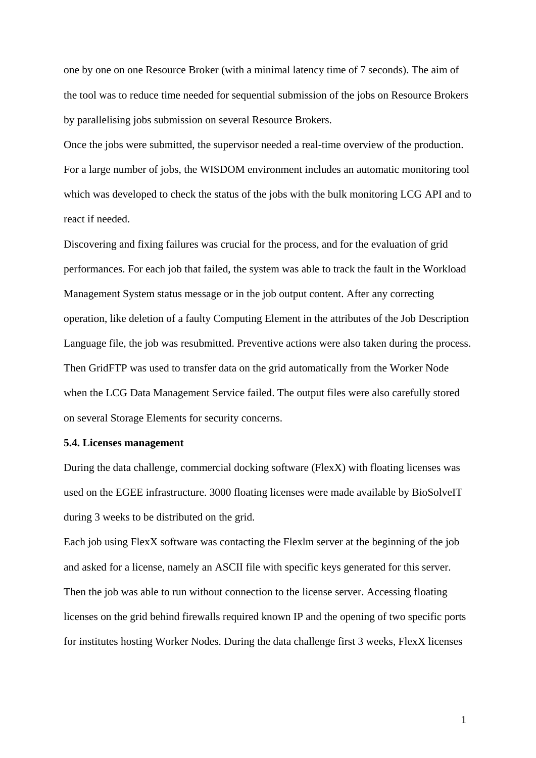one by one on one Resource Broker (with a minimal latency time of 7 seconds). The aim of the tool was to reduce time needed for sequential submission of the jobs on Resource Brokers by parallelising jobs submission on several Resource Brokers.

Once the jobs were submitted, the supervisor needed a real-time overview of the production. For a large number of jobs, the WISDOM environment includes an automatic monitoring tool which was developed to check the status of the jobs with the bulk monitoring LCG API and to react if needed.

Discovering and fixing failures was crucial for the process, and for the evaluation of grid performances. For each job that failed, the system was able to track the fault in the Workload Management System status message or in the job output content. After any correcting operation, like deletion of a faulty Computing Element in the attributes of the Job Description Language file, the job was resubmitted. Preventive actions were also taken during the process. Then GridFTP was used to transfer data on the grid automatically from the Worker Node when the LCG Data Management Service failed. The output files were also carefully stored on several Storage Elements for security concerns.

#### **5.4. Licenses management**

During the data challenge, commercial docking software (FlexX) with floating licenses was used on the EGEE infrastructure. 3000 floating licenses were made available by BioSolveIT during 3 weeks to be distributed on the grid.

Each job using FlexX software was contacting the Flexlm server at the beginning of the job and asked for a license, namely an ASCII file with specific keys generated for this server. Then the job was able to run without connection to the license server. Accessing floating licenses on the grid behind firewalls required known IP and the opening of two specific ports for institutes hosting Worker Nodes. During the data challenge first 3 weeks, FlexX licenses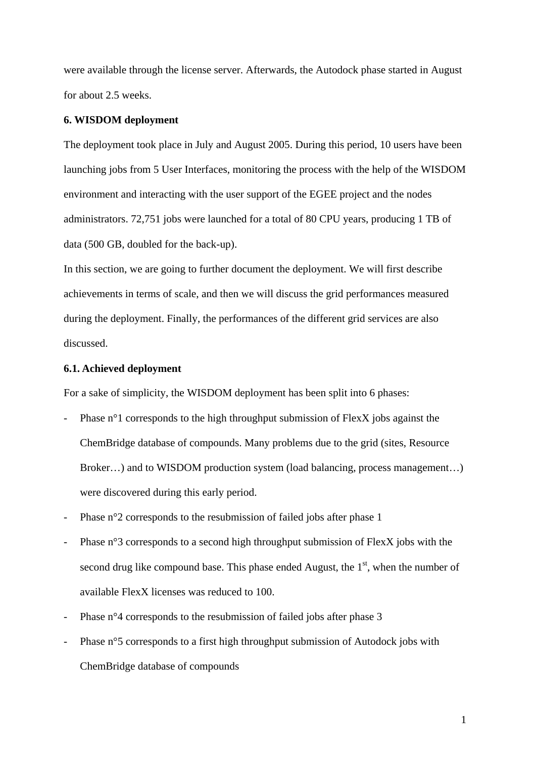were available through the license server. Afterwards, the Autodock phase started in August for about 2.5 weeks.

## **6. WISDOM deployment**

The deployment took place in July and August 2005. During this period, 10 users have been launching jobs from 5 User Interfaces, monitoring the process with the help of the WISDOM environment and interacting with the user support of the EGEE project and the nodes administrators. 72,751 jobs were launched for a total of 80 CPU years, producing 1 TB of data (500 GB, doubled for the back-up).

In this section, we are going to further document the deployment. We will first describe achievements in terms of scale, and then we will discuss the grid performances measured during the deployment. Finally, the performances of the different grid services are also discussed.

## **6.1. Achieved deployment**

For a sake of simplicity, the WISDOM deployment has been split into 6 phases:

- Phase  $n^{\circ}$  corresponds to the high throughput submission of FlexX jobs against the ChemBridge database of compounds. Many problems due to the grid (sites, Resource Broker...) and to WISDOM production system (load balancing, process management...) were discovered during this early period.
- Phase n°2 corresponds to the resubmission of failed jobs after phase 1
- Phase n°3 corresponds to a second high throughput submission of FlexX jobs with the second drug like compound base. This phase ended August, the  $1<sup>st</sup>$ , when the number of available FlexX licenses was reduced to 100.
- Phase n°4 corresponds to the resubmission of failed jobs after phase 3
- Phase n°5 corresponds to a first high throughput submission of Autodock jobs with ChemBridge database of compounds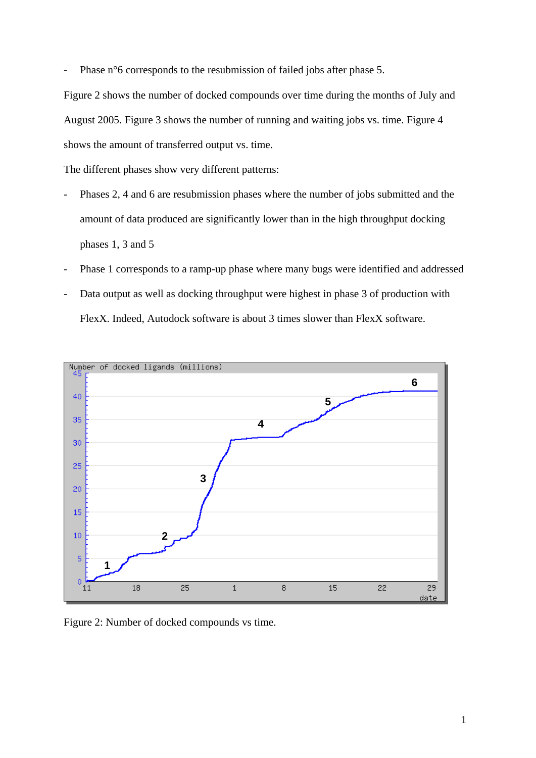Phase n°6 corresponds to the resubmission of failed jobs after phase 5.

Figure 2 shows the number of docked compounds over time during the months of July and August 2005. Figure 3 shows the number of running and waiting jobs vs. time. Figure 4 shows the amount of transferred output vs. time.

The different phases show very different patterns:

- Phases 2, 4 and 6 are resubmission phases where the number of jobs submitted and the amount of data produced are significantly lower than in the high throughput docking phases 1, 3 and 5
- Phase 1 corresponds to a ramp-up phase where many bugs were identified and addressed
- Data output as well as docking throughput were highest in phase 3 of production with FlexX. Indeed, Autodock software is about 3 times slower than FlexX software.



Figure 2: Number of docked compounds vs time.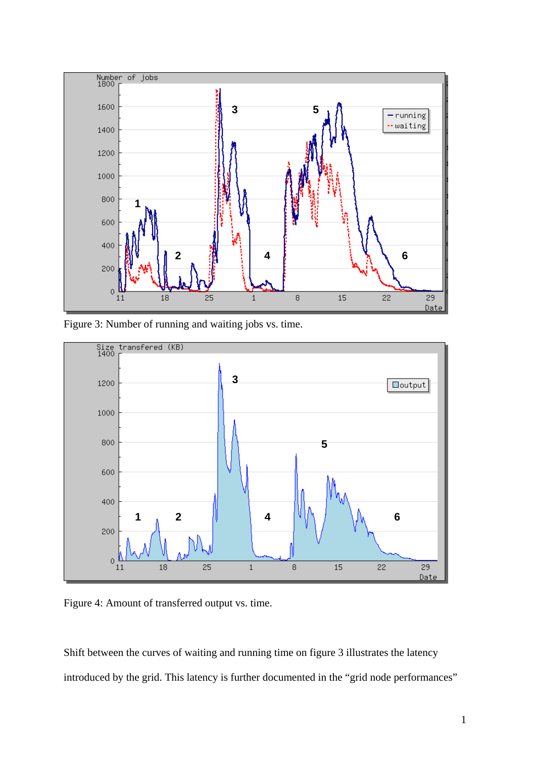

Figure 3: Number of running and waiting jobs vs. time.



Figure 4: Amount of transferred output vs. time.

Shift between the curves of waiting and running time on figure 3 illustrates the latency introduced by the grid. This latency is further documented in the "grid node performances"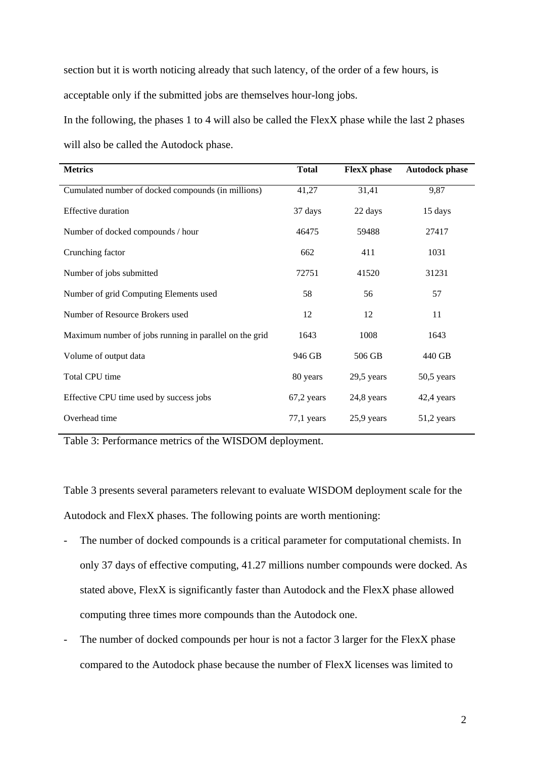section but it is worth noticing already that such latency, of the order of a few hours, is acceptable only if the submitted jobs are themselves hour-long jobs.

In the following, the phases 1 to 4 will also be called the FlexX phase while the last 2 phases will also be called the Autodock phase.

| <b>Metrics</b>                                         | <b>Total</b> | <b>FlexX</b> phase | <b>Autodock phase</b> |
|--------------------------------------------------------|--------------|--------------------|-----------------------|
| Cumulated number of docked compounds (in millions)     | 41,27        | 31,41              | 9,87                  |
| <b>Effective duration</b>                              | 37 days      | 22 days            | 15 days               |
| Number of docked compounds / hour                      | 46475        | 59488              | 27417                 |
| Crunching factor                                       | 662          | 411                | 1031                  |
| Number of jobs submitted                               | 72751        | 41520              | 31231                 |
| Number of grid Computing Elements used                 | 58           | 56                 | 57                    |
| Number of Resource Brokers used                        | 12           | 12                 | 11                    |
| Maximum number of jobs running in parallel on the grid | 1643         | 1008               | 1643                  |
| Volume of output data                                  | 946 GB       | 506 GB             | 440 GB                |
| Total CPU time                                         | 80 years     | 29,5 years         | 50,5 years            |
| Effective CPU time used by success jobs                | $67,2$ years | 24,8 years         | 42,4 years            |
| Overhead time                                          | $77,1$ years | 25,9 years         | 51,2 years            |

Table 3: Performance metrics of the WISDOM deployment.

Table 3 presents several parameters relevant to evaluate WISDOM deployment scale for the Autodock and FlexX phases. The following points are worth mentioning:

- The number of docked compounds is a critical parameter for computational chemists. In only 37 days of effective computing, 41.27 millions number compounds were docked. As stated above, FlexX is significantly faster than Autodock and the FlexX phase allowed computing three times more compounds than the Autodock one.
- The number of docked compounds per hour is not a factor 3 larger for the FlexX phase compared to the Autodock phase because the number of FlexX licenses was limited to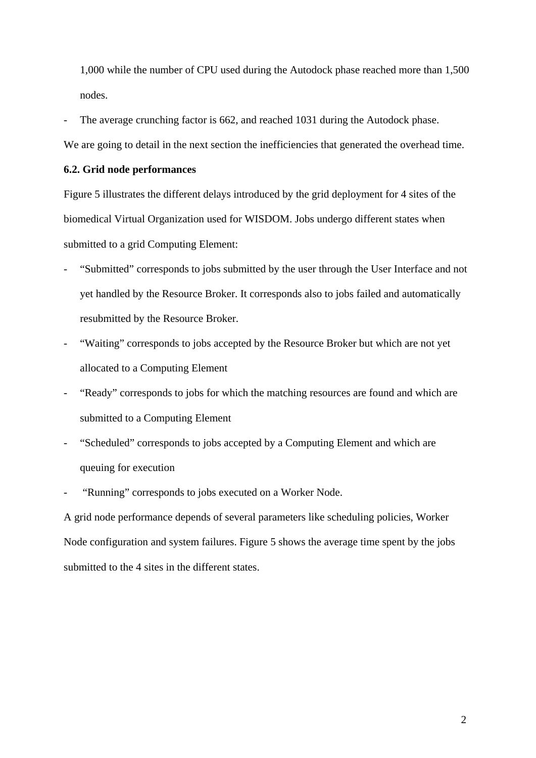1,000 while the number of CPU used during the Autodock phase reached more than 1,500 nodes.

The average crunching factor is 662, and reached 1031 during the Autodock phase.

We are going to detail in the next section the inefficiencies that generated the overhead time.

### **6.2. Grid node performances**

Figure 5 illustrates the different delays introduced by the grid deployment for 4 sites of the biomedical Virtual Organization used for WISDOM. Jobs undergo different states when submitted to a grid Computing Element:

- "Submitted" corresponds to jobs submitted by the user through the User Interface and not yet handled by the Resource Broker. It corresponds also to jobs failed and automatically resubmitted by the Resource Broker.
- "Waiting" corresponds to jobs accepted by the Resource Broker but which are not yet allocated to a Computing Element
- "Ready" corresponds to jobs for which the matching resources are found and which are submitted to a Computing Element
- "Scheduled" corresponds to jobs accepted by a Computing Element and which are queuing for execution
- "Running" corresponds to jobs executed on a Worker Node.

A grid node performance depends of several parameters like scheduling policies, Worker Node configuration and system failures. Figure 5 shows the average time spent by the jobs submitted to the 4 sites in the different states.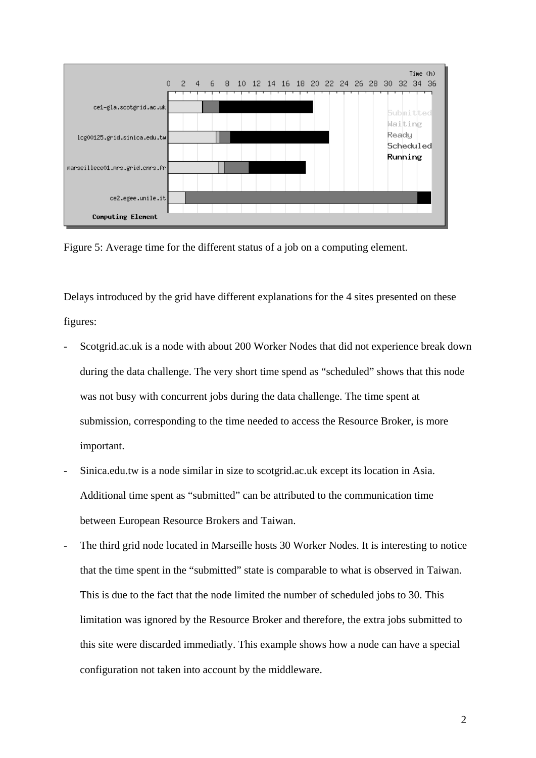

Figure 5: Average time for the different status of a job on a computing element.

Delays introduced by the grid have different explanations for the 4 sites presented on these figures:

- Scotgrid.ac.uk is a node with about 200 Worker Nodes that did not experience break down during the data challenge. The very short time spend as "scheduled" shows that this node was not busy with concurrent jobs during the data challenge. The time spent at submission, corresponding to the time needed to access the Resource Broker, is more important.
- Sinica.edu.tw is a node similar in size to scotgrid.ac.uk except its location in Asia. Additional time spent as "submitted" can be attributed to the communication time between European Resource Brokers and Taiwan.
- The third grid node located in Marseille hosts 30 Worker Nodes. It is interesting to notice that the time spent in the "submitted" state is comparable to what is observed in Taiwan. This is due to the fact that the node limited the number of scheduled jobs to 30. This limitation was ignored by the Resource Broker and therefore, the extra jobs submitted to this site were discarded immediatly. This example shows how a node can have a special configuration not taken into account by the middleware.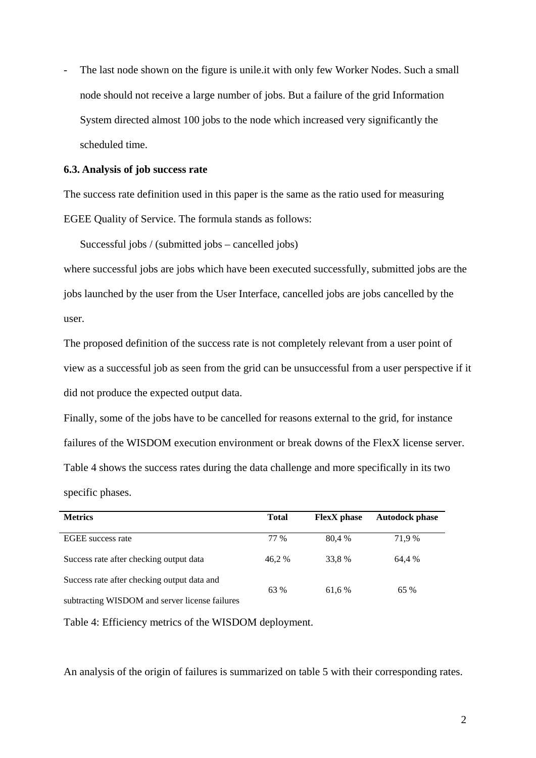The last node shown on the figure is unile.it with only few Worker Nodes. Such a small node should not receive a large number of jobs. But a failure of the grid Information System directed almost 100 jobs to the node which increased very significantly the scheduled time.

#### **6.3. Analysis of job success rate**

The success rate definition used in this paper is the same as the ratio used for measuring EGEE Quality of Service. The formula stands as follows:

Successful jobs / (submitted jobs – cancelled jobs)

where successful jobs are jobs which have been executed successfully, submitted jobs are the jobs launched by the user from the User Interface, cancelled jobs are jobs cancelled by the user.

The proposed definition of the success rate is not completely relevant from a user point of view as a successful job as seen from the grid can be unsuccessful from a user perspective if it did not produce the expected output data.

Finally, some of the jobs have to be cancelled for reasons external to the grid, for instance failures of the WISDOM execution environment or break downs of the FlexX license server. Table 4 shows the success rates during the data challenge and more specifically in its two specific phases.

| <b>Metrics</b>                                 | <b>Total</b> | <b>FlexX</b> phase | <b>Autodock phase</b> |
|------------------------------------------------|--------------|--------------------|-----------------------|
| <b>EGEE</b> success rate                       | 77 %         | 80.4 %             | 71.9 %                |
| Success rate after checking output data        | 46.2 %       | 33.8%              | 64.4 %                |
| Success rate after checking output data and    | 63 %         | 61.6 %             | 65 %                  |
| subtracting WISDOM and server license failures |              |                    |                       |

Table 4: Efficiency metrics of the WISDOM deployment.

An analysis of the origin of failures is summarized on table 5 with their corresponding rates.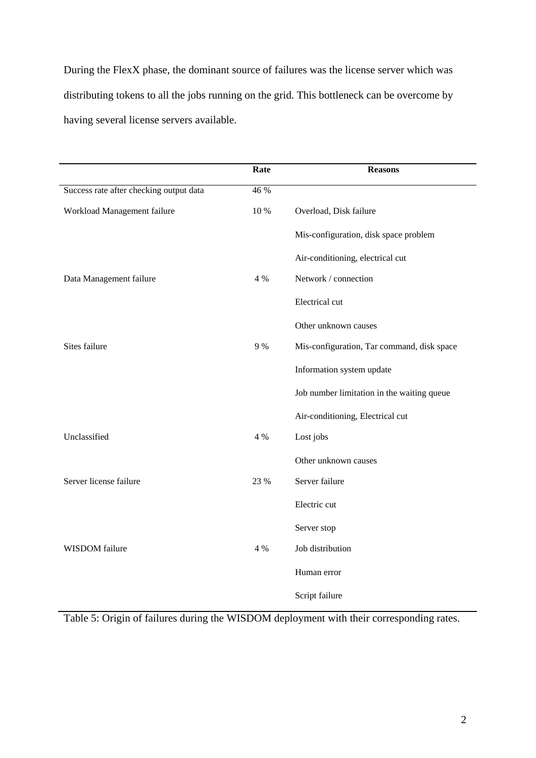During the FlexX phase, the dominant source of failures was the license server which was distributing tokens to all the jobs running on the grid. This bottleneck can be overcome by having several license servers available.

|                                         | Rate | <b>Reasons</b>                             |
|-----------------------------------------|------|--------------------------------------------|
| Success rate after checking output data | 46 % |                                            |
| Workload Management failure             | 10 % | Overload, Disk failure                     |
|                                         |      | Mis-configuration, disk space problem      |
|                                         |      | Air-conditioning, electrical cut           |
| Data Management failure                 | 4 %  | Network / connection                       |
|                                         |      | Electrical cut                             |
|                                         |      | Other unknown causes                       |
| Sites failure                           | 9 %  | Mis-configuration, Tar command, disk space |
|                                         |      | Information system update                  |
|                                         |      | Job number limitation in the waiting queue |
|                                         |      | Air-conditioning, Electrical cut           |
| Unclassified                            | 4 %  | Lost jobs                                  |
|                                         |      | Other unknown causes                       |
| Server license failure                  | 23 % | Server failure                             |
|                                         |      | Electric cut                               |
|                                         |      | Server stop                                |
| WISDOM failure                          | 4 %  | Job distribution                           |
|                                         |      | Human error                                |
|                                         |      | Script failure                             |

Table 5: Origin of failures during the WISDOM deployment with their corresponding rates.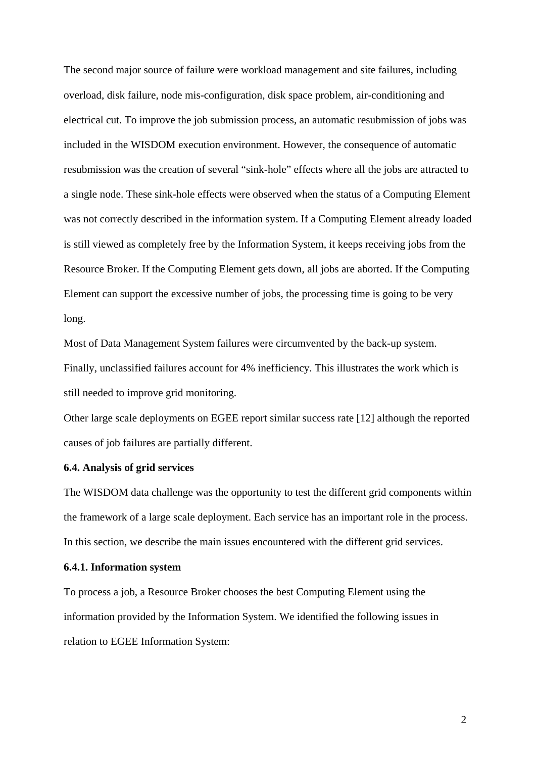The second major source of failure were workload management and site failures, including overload, disk failure, node mis-configuration, disk space problem, air-conditioning and electrical cut. To improve the job submission process, an automatic resubmission of jobs was included in the WISDOM execution environment. However, the consequence of automatic resubmission was the creation of several "sink-hole" effects where all the jobs are attracted to a single node. These sink-hole effects were observed when the status of a Computing Element was not correctly described in the information system. If a Computing Element already loaded is still viewed as completely free by the Information System, it keeps receiving jobs from the Resource Broker. If the Computing Element gets down, all jobs are aborted. If the Computing Element can support the excessive number of jobs, the processing time is going to be very long.

Most of Data Management System failures were circumvented by the back-up system. Finally, unclassified failures account for 4% inefficiency. This illustrates the work which is still needed to improve grid monitoring.

Other large scale deployments on EGEE report similar success rate [12] although the reported causes of job failures are partially different.

## **6.4. Analysis of grid services**

The WISDOM data challenge was the opportunity to test the different grid components within the framework of a large scale deployment. Each service has an important role in the process. In this section, we describe the main issues encountered with the different grid services.

## **6.4.1. Information system**

To process a job, a Resource Broker chooses the best Computing Element using the information provided by the Information System. We identified the following issues in relation to EGEE Information System: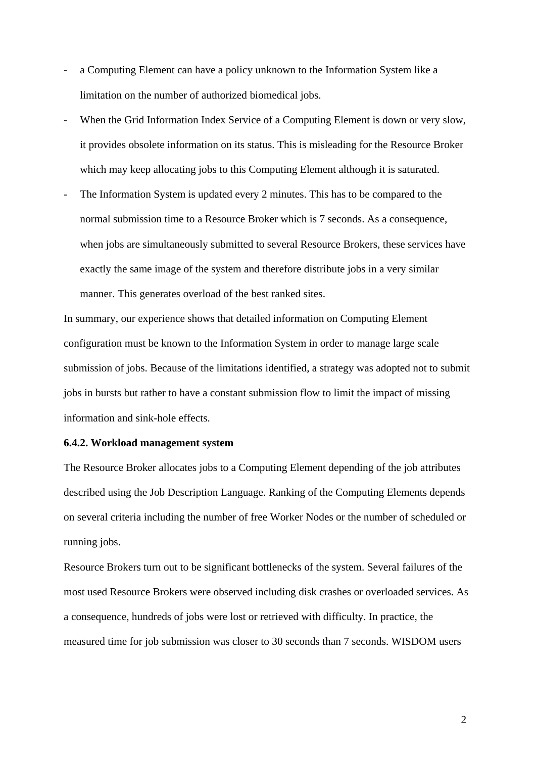- a Computing Element can have a policy unknown to the Information System like a limitation on the number of authorized biomedical jobs.
- When the Grid Information Index Service of a Computing Element is down or very slow, it provides obsolete information on its status. This is misleading for the Resource Broker which may keep allocating jobs to this Computing Element although it is saturated.
- The Information System is updated every 2 minutes. This has to be compared to the normal submission time to a Resource Broker which is 7 seconds. As a consequence, when jobs are simultaneously submitted to several Resource Brokers, these services have exactly the same image of the system and therefore distribute jobs in a very similar manner. This generates overload of the best ranked sites.

In summary, our experience shows that detailed information on Computing Element configuration must be known to the Information System in order to manage large scale submission of jobs. Because of the limitations identified, a strategy was adopted not to submit jobs in bursts but rather to have a constant submission flow to limit the impact of missing information and sink-hole effects.

#### **6.4.2. Workload management system**

The Resource Broker allocates jobs to a Computing Element depending of the job attributes described using the Job Description Language. Ranking of the Computing Elements depends on several criteria including the number of free Worker Nodes or the number of scheduled or running jobs.

Resource Brokers turn out to be significant bottlenecks of the system. Several failures of the most used Resource Brokers were observed including disk crashes or overloaded services. As a consequence, hundreds of jobs were lost or retrieved with difficulty. In practice, the measured time for job submission was closer to 30 seconds than 7 seconds. WISDOM users

2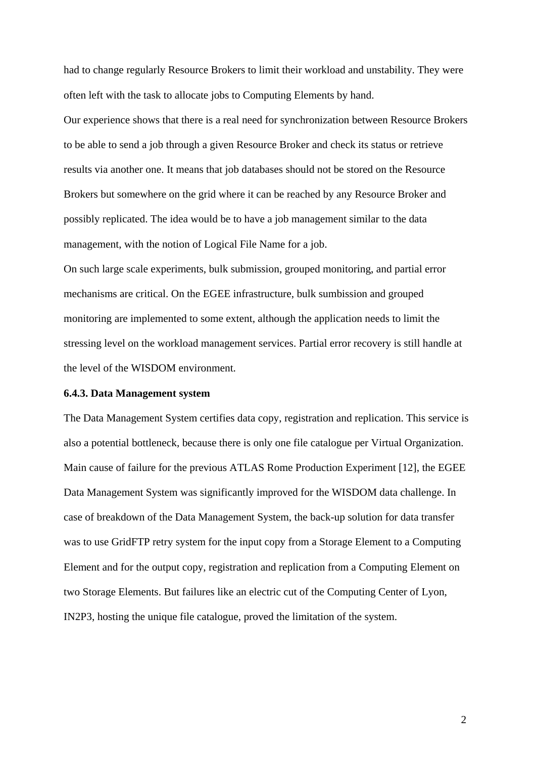had to change regularly Resource Brokers to limit their workload and unstability. They were often left with the task to allocate jobs to Computing Elements by hand.

Our experience shows that there is a real need for synchronization between Resource Brokers to be able to send a job through a given Resource Broker and check its status or retrieve results via another one. It means that job databases should not be stored on the Resource Brokers but somewhere on the grid where it can be reached by any Resource Broker and possibly replicated. The idea would be to have a job management similar to the data management, with the notion of Logical File Name for a job.

On such large scale experiments, bulk submission, grouped monitoring, and partial error mechanisms are critical. On the EGEE infrastructure, bulk sumbission and grouped monitoring are implemented to some extent, although the application needs to limit the stressing level on the workload management services. Partial error recovery is still handle at the level of the WISDOM environment.

#### **6.4.3. Data Management system**

The Data Management System certifies data copy, registration and replication. This service is also a potential bottleneck, because there is only one file catalogue per Virtual Organization. Main cause of failure for the previous ATLAS Rome Production Experiment [12], the EGEE Data Management System was significantly improved for the WISDOM data challenge. In case of breakdown of the Data Management System, the back-up solution for data transfer was to use GridFTP retry system for the input copy from a Storage Element to a Computing Element and for the output copy, registration and replication from a Computing Element on two Storage Elements. But failures like an electric cut of the Computing Center of Lyon, IN2P3, hosting the unique file catalogue, proved the limitation of the system.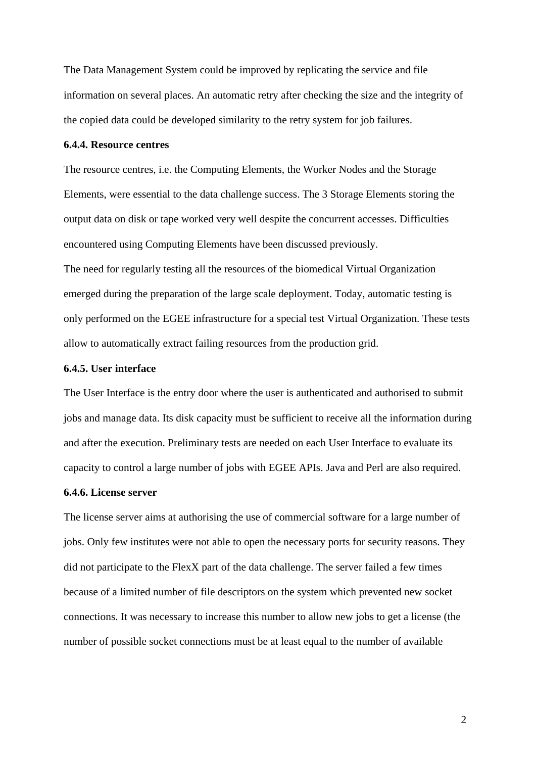The Data Management System could be improved by replicating the service and file information on several places. An automatic retry after checking the size and the integrity of the copied data could be developed similarity to the retry system for job failures.

## **6.4.4. Resource centres**

The resource centres, i.e. the Computing Elements, the Worker Nodes and the Storage Elements, were essential to the data challenge success. The 3 Storage Elements storing the output data on disk or tape worked very well despite the concurrent accesses. Difficulties encountered using Computing Elements have been discussed previously.

The need for regularly testing all the resources of the biomedical Virtual Organization emerged during the preparation of the large scale deployment. Today, automatic testing is only performed on the EGEE infrastructure for a special test Virtual Organization. These tests allow to automatically extract failing resources from the production grid.

## **6.4.5. User interface**

The User Interface is the entry door where the user is authenticated and authorised to submit jobs and manage data. Its disk capacity must be sufficient to receive all the information during and after the execution. Preliminary tests are needed on each User Interface to evaluate its capacity to control a large number of jobs with EGEE APIs. Java and Perl are also required.

#### **6.4.6. License server**

The license server aims at authorising the use of commercial software for a large number of jobs. Only few institutes were not able to open the necessary ports for security reasons. They did not participate to the FlexX part of the data challenge. The server failed a few times because of a limited number of file descriptors on the system which prevented new socket connections. It was necessary to increase this number to allow new jobs to get a license (the number of possible socket connections must be at least equal to the number of available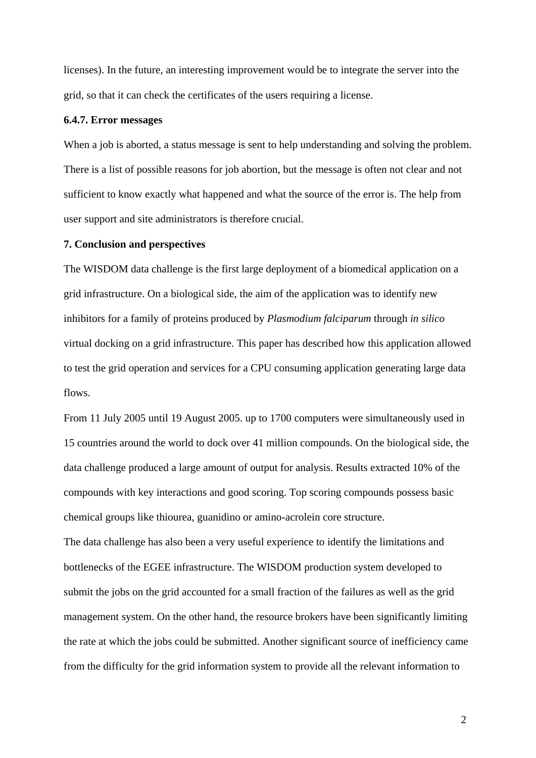licenses). In the future, an interesting improvement would be to integrate the server into the grid, so that it can check the certificates of the users requiring a license.

#### **6.4.7. Error messages**

When a job is aborted, a status message is sent to help understanding and solving the problem. There is a list of possible reasons for job abortion, but the message is often not clear and not sufficient to know exactly what happened and what the source of the error is. The help from user support and site administrators is therefore crucial.

## **7. Conclusion and perspectives**

The WISDOM data challenge is the first large deployment of a biomedical application on a grid infrastructure. On a biological side, the aim of the application was to identify new inhibitors for a family of proteins produced by *Plasmodium falciparum* through *in silico* virtual docking on a grid infrastructure. This paper has described how this application allowed to test the grid operation and services for a CPU consuming application generating large data flows.

From 11 July 2005 until 19 August 2005. up to 1700 computers were simultaneously used in 15 countries around the world to dock over 41 million compounds. On the biological side, the data challenge produced a large amount of output for analysis. Results extracted 10% of the compounds with key interactions and good scoring. Top scoring compounds possess basic chemical groups like thiourea, guanidino or amino-acrolein core structure.

The data challenge has also been a very useful experience to identify the limitations and bottlenecks of the EGEE infrastructure. The WISDOM production system developed to submit the jobs on the grid accounted for a small fraction of the failures as well as the grid management system. On the other hand, the resource brokers have been significantly limiting the rate at which the jobs could be submitted. Another significant source of inefficiency came from the difficulty for the grid information system to provide all the relevant information to

2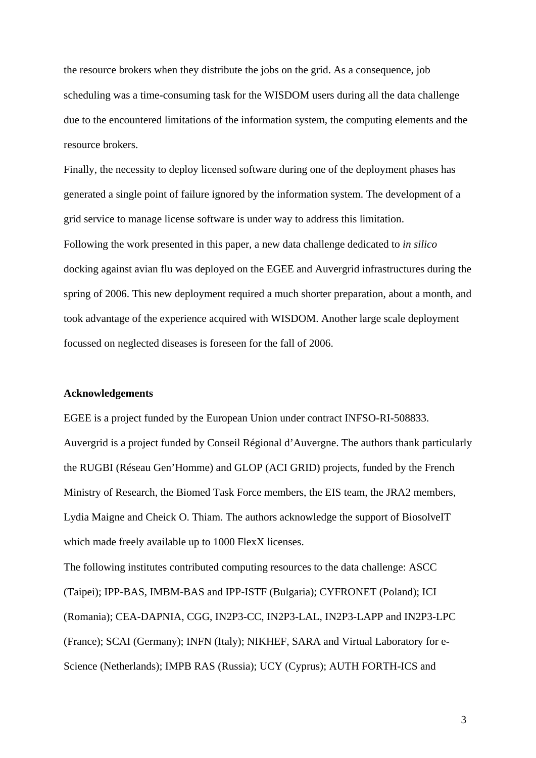the resource brokers when they distribute the jobs on the grid. As a consequence, job scheduling was a time-consuming task for the WISDOM users during all the data challenge due to the encountered limitations of the information system, the computing elements and the resource brokers.

Finally, the necessity to deploy licensed software during one of the deployment phases has generated a single point of failure ignored by the information system. The development of a grid service to manage license software is under way to address this limitation. Following the work presented in this paper, a new data challenge dedicated to *in silico*  docking against avian flu was deployed on the EGEE and Auvergrid infrastructures during the spring of 2006. This new deployment required a much shorter preparation, about a month, and took advantage of the experience acquired with WISDOM. Another large scale deployment focussed on neglected diseases is foreseen for the fall of 2006.

### **Acknowledgements**

EGEE is a project funded by the European Union under contract INFSO-RI-508833. Auvergrid is a project funded by Conseil Régional d'Auvergne. The authors thank particularly the RUGBI (Réseau Gen'Homme) and GLOP (ACI GRID) projects, funded by the French Ministry of Research, the Biomed Task Force members, the EIS team, the JRA2 members, Lydia Maigne and Cheick O. Thiam. The authors acknowledge the support of BiosolveIT which made freely available up to 1000 FlexX licenses.

The following institutes contributed computing resources to the data challenge: ASCC (Taipei); IPP-BAS, IMBM-BAS and IPP-ISTF (Bulgaria); CYFRONET (Poland); ICI (Romania); CEA-DAPNIA, CGG, IN2P3-CC, IN2P3-LAL, IN2P3-LAPP and IN2P3-LPC (France); SCAI (Germany); INFN (Italy); NIKHEF, SARA and Virtual Laboratory for e-Science (Netherlands); IMPB RAS (Russia); UCY (Cyprus); AUTH FORTH-ICS and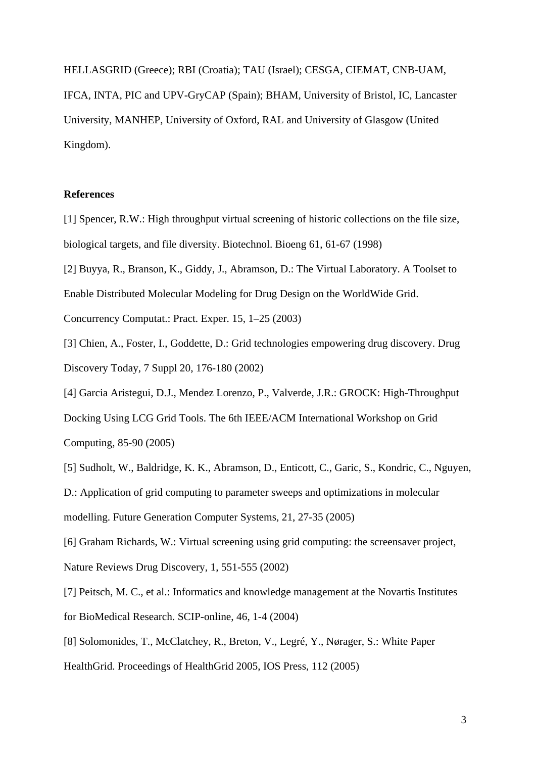HELLASGRID (Greece); RBI (Croatia); TAU (Israel); CESGA, CIEMAT, CNB-UAM, IFCA, INTA, PIC and UPV-GryCAP (Spain); BHAM, University of Bristol, IC, Lancaster University, MANHEP, University of Oxford, RAL and University of Glasgow (United Kingdom).

#### **References**

- [1] Spencer, R.W.: High throughput virtual screening of historic collections on the file size, biological targets, and file diversity. Biotechnol. Bioeng 61, 61-67 (1998)
- [2] Buyya, R., Branson, K., Giddy, J., Abramson, D.: The Virtual Laboratory. A Toolset to

Enable Distributed Molecular Modeling for Drug Design on the WorldWide Grid.

Concurrency Computat.: Pract. Exper. 15, 1–25 (2003)

- [3] Chien, A., Foster, I., Goddette, D.: Grid technologies empowering drug discovery. Drug Discovery Today, 7 Suppl 20, 176-180 (2002)
- [4] Garcia Aristegui, D.J., Mendez Lorenzo, P., Valverde, J.R.: GROCK: High-Throughput

Docking Using LCG Grid Tools. The 6th IEEE/ACM International Workshop on Grid Computing, 85-90 (2005)

[5] Sudholt, W., Baldridge, K. K., Abramson, D., Enticott, C., Garic, S., Kondric, C., Nguyen,

D.: Application of grid computing to parameter sweeps and optimizations in molecular modelling. Future Generation Computer Systems, 21, 27-35 (2005)

[6] Graham Richards, W.: Virtual screening using grid computing: the screensaver project, Nature Reviews Drug Discovery, 1, 551-555 (2002)

- [7] Peitsch, M. C., et al.: Informatics and knowledge management at the Novartis Institutes for BioMedical Research. SCIP-online, 46, 1-4 (2004)
- [8] Solomonides, T., McClatchey, R., Breton, V., Legré, Y., Nørager, S.: White Paper
- HealthGrid. Proceedings of HealthGrid 2005, IOS Press, 112 (2005)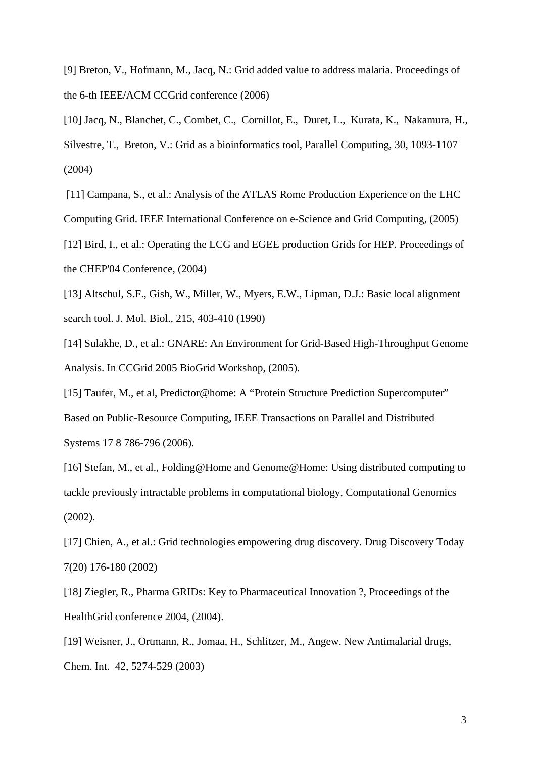[9] Breton, V., Hofmann, M., Jacq, N.: Grid added value to address malaria. Proceedings of the 6-th IEEE/ACM CCGrid conference (2006)

[10] Jacq, N., Blanchet, C., Combet, C., Cornillot, E., Duret, L., Kurata, K., Nakamura, H., Silvestre, T., Breton, V.: Grid as a bioinformatics tool, Parallel Computing, 30, 1093-1107 (2004)

 [11] Campana, S., et al.: Analysis of the ATLAS Rome Production Experience on the LHC Computing Grid. IEEE International Conference on e-Science and Grid Computing, (2005)

[12] Bird, I., et al.: Operating the LCG and EGEE production Grids for HEP. Proceedings of the CHEP'04 Conference, (2004)

[13] Altschul, S.F., Gish, W., Miller, W., Myers, E.W., Lipman, D.J.: Basic local alignment search tool. J. Mol. Biol., 215, 403-410 (1990)

[14] Sulakhe, D., et al.: GNARE: An Environment for Grid-Based High-Throughput Genome Analysis. In CCGrid 2005 BioGrid Workshop, (2005).

[15] Taufer, M., et al, Predictor@home: A "Protein Structure Prediction Supercomputer" Based on Public-Resource Computing, IEEE Transactions on Parallel and Distributed Systems 17 8 786-796 (2006).

[16] Stefan, M., et al., Folding@Home and Genome@Home: Using distributed computing to tackle previously intractable problems in computational biology, Computational Genomics (2002).

[17] Chien, A., et al.: Grid technologies empowering drug discovery. Drug Discovery Today 7(20) 176-180 (2002)

[18] Ziegler, R., Pharma GRIDs: Key to Pharmaceutical Innovation ?, Proceedings of the HealthGrid conference 2004, (2004).

[19] Weisner, J., Ortmann, R., Jomaa, H., Schlitzer, M., Angew. New Antimalarial drugs, Chem. Int. 42, 5274-529 (2003)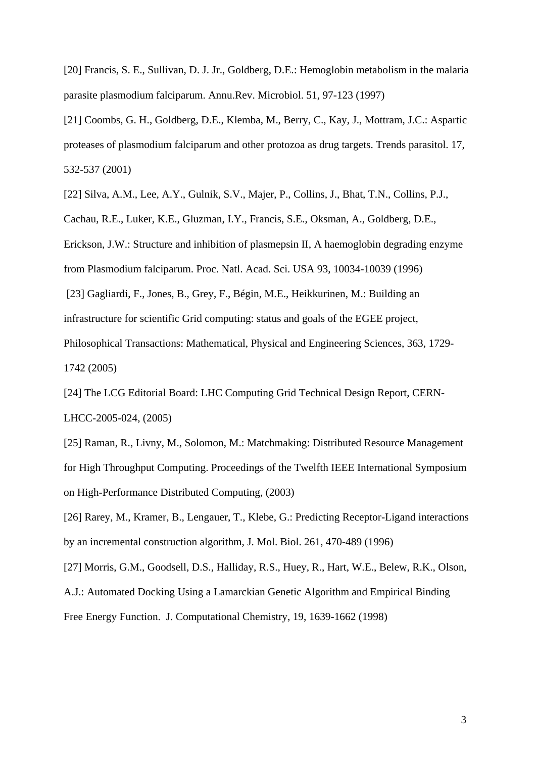[20] Francis, S. E., Sullivan, D. J. Jr., Goldberg, D.E.: Hemoglobin metabolism in the malaria parasite plasmodium falciparum. Annu.Rev. Microbiol. 51, 97-123 (1997)

[21] Coombs, G. H., Goldberg, D.E., Klemba, M., Berry, C., Kay, J., Mottram, J.C.: Aspartic proteases of plasmodium falciparum and other protozoa as drug targets. Trends parasitol. 17, 532-537 (2001)

[22] Silva, A.M., Lee, A.Y., Gulnik, S.V., Majer, P., Collins, J., Bhat, T.N., Collins, P.J., Cachau, R.E., Luker, K.E., Gluzman, I.Y., Francis, S.E., Oksman, A., Goldberg, D.E., Erickson, J.W.: Structure and inhibition of plasmepsin II, A haemoglobin degrading enzyme from Plasmodium falciparum. Proc. Natl. Acad. Sci. USA 93, 10034-10039 (1996)

 [23] Gagliardi, F., Jones, B., Grey, F., Bégin, M.E., Heikkurinen, M.: Building an infrastructure for scientific Grid computing: status and goals of the EGEE project, Philosophical Transactions: Mathematical, Physical and Engineering Sciences, 363, 1729- 1742 (2005)

[24] The LCG Editorial Board: LHC Computing Grid Technical Design Report, CERN-LHCC-2005-024, (2005)

[25] Raman, R., Livny, M., Solomon, M.: Matchmaking: Distributed Resource Management for High Throughput Computing. Proceedings of the Twelfth IEEE International Symposium on High-Performance Distributed Computing, (2003)

[26] Rarey, M., Kramer, B., Lengauer, T., Klebe, G.: Predicting Receptor-Ligand interactions by an incremental construction algorithm, J. Mol. Biol. 261, 470-489 (1996)

[27] Morris, G.M., Goodsell, D.S., Halliday, R.S., Huey, R., Hart, W.E., Belew, R.K., Olson, A.J.: Automated Docking Using a Lamarckian Genetic Algorithm and Empirical Binding Free Energy Function. J. Computational Chemistry, 19, 1639-1662 (1998)